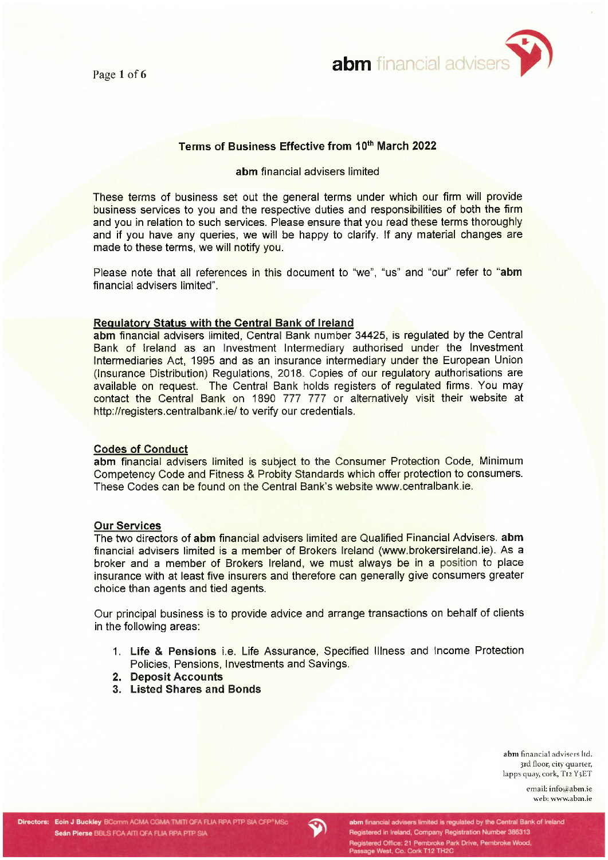

# Terms of Business Effective from 10th March 2022

#### abm financial advisers limited

These terms of business set out the general terms under which our firm will provide business services to you and the respective duties and responsibilities of both the firm and you in relation to such services. Please ensure that you read these terms thoroughly and if you have any queries, we will be happy to clarify. If any material changes are made to these terms, we will notify you.

Please note that all references in this document to "we", "us" and "our" refer to "abm financial advisers limited".

#### Regulatory Status with the Central Bank of Ireland

abm financial advisers limited, Central Bank number 34425, is requlated by the Central Bank of Ireland as an Investment Intermediary authorised under the Investment Intermediaries Act, 1995 and as an insurance intermediary under the European Union (Insurance Distribution) Regulations, 2018. Copies of our regulatory authorisations are available on request. The Central Bank holds registers of regulated firms. You may contact the Central Bank on 1890 777 777 or alternatively visit their website at http://registers.centralbank.ie/ to verify our credentials.

#### **Codes of Conduct**

abm financial advisers limited is subject to the Consumer Protection Code, Minimum Competency Code and Fitness & Probity Standards which offer protection to consumers. These Codes can be found on the Central Bank's website www.centralbank.ie.

### **Our Services**

The two directors of abm financial advisers limited are Qualified Financial Advisers. abm financial advisers limited is a member of Brokers Ireland (www.brokersireland.ie). As a broker and a member of Brokers Ireland, we must always be in a position to place insurance with at least five insurers and therefore can generally give consumers greater choice than agents and tied agents.

Our principal business is to provide advice and arrange transactions on behalf of clients in the following areas:

- 1. Life & Pensions *i.e.* Life Assurance, Specified Illness and Income Protection Policies, Pensions, Investments and Savings.
- 2. Deposit Accounts
- 3. Listed Shares and Bonds

abm financial advisers ltd. 3rd floor, city quarter, lapps quay, cork, T12 Y3ET

> email: info@abm.ie web: www.abm.ie

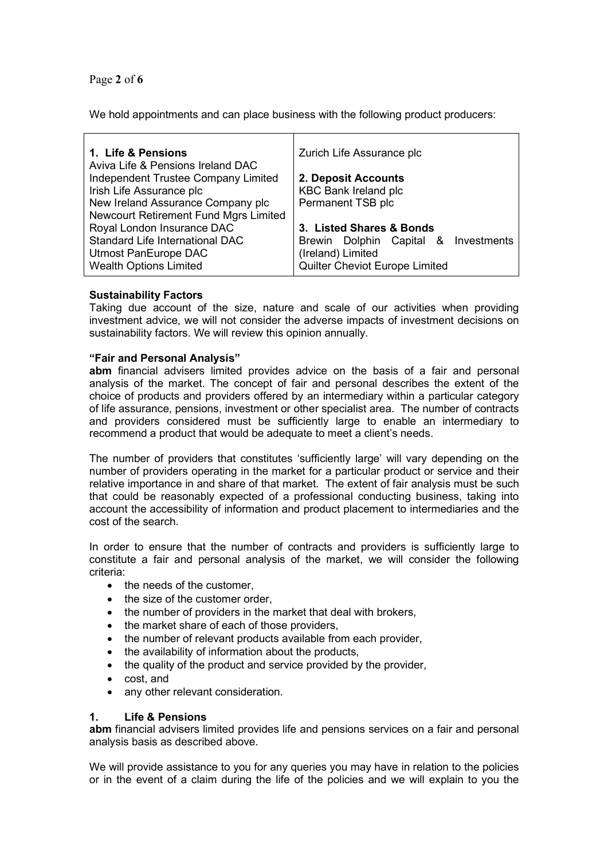Page 2 of 6

We hold appointments and can place business with the following product producers:

| 1. Life & Pensions<br>Aviva Life & Pensions Ireland DAC                    | Zurich Life Assurance plc            |
|----------------------------------------------------------------------------|--------------------------------------|
| Independent Trustee Company Limited                                        | 2. Deposit Accounts                  |
| Irish Life Assurance plc                                                   | <b>KBC Bank Ireland plc</b>          |
| New Ireland Assurance Company plc                                          | Permanent TSB plc                    |
| <b>Newcourt Retirement Fund Mgrs Limited</b><br>Royal London Insurance DAC | 3. Listed Shares & Bonds             |
| Standard Life International DAC                                            | Brewin Dolphin Capital & Investments |
| Utmost PanEurope DAC                                                       | (Ireland) Limited                    |
| <b>Wealth Options Limited</b>                                              | Quilter Cheviot Europe Limited       |

# Sustainability Factors

Taking due account of the size, nature and scale of our activities when providing investment advice, we will not consider the adverse impacts of investment decisions on sustainability factors. We will review this opinion annually.

# "Fair and Personal Analysis"

abm financial advisers limited provides advice on the basis of a fair and personal analysis of the market. The concept of fair and personal describes the extent of the choice of products and providers offered by an intermediary within a particular category of life assurance, pensions, investment or other specialist area. The number of contracts and providers considered must be sufficiently large to enable an intermediary to recommend a product that would be adequate to meet a client's needs.

The number of providers that constitutes 'sufficiently large' will vary depending on the number of providers operating in the market for a particular product or service and their relative importance in and share of that market. The extent of fair analysis must be such that could be reasonably expected of a professional conducting business, taking into account the accessibility of information and product placement to intermediaries and the cost of the search.

In order to ensure that the number of contracts and providers is sufficiently large to constitute a fair and personal analysis of the market, we will consider the following criteria:

- the needs of the customer.
- the size of the customer order.
- the number of providers in the market that deal with brokers,
- the market share of each of those providers,
- the number of relevant products available from each provider,
- the availability of information about the products,
- the quality of the product and service provided by the provider,
- cost, and
- any other relevant consideration.

# 1. Life & Pensions

abm financial advisers limited provides life and pensions services on a fair and personal analysis basis as described above.

We will provide assistance to you for any queries you may have in relation to the policies or in the event of a claim during the life of the policies and we will explain to you the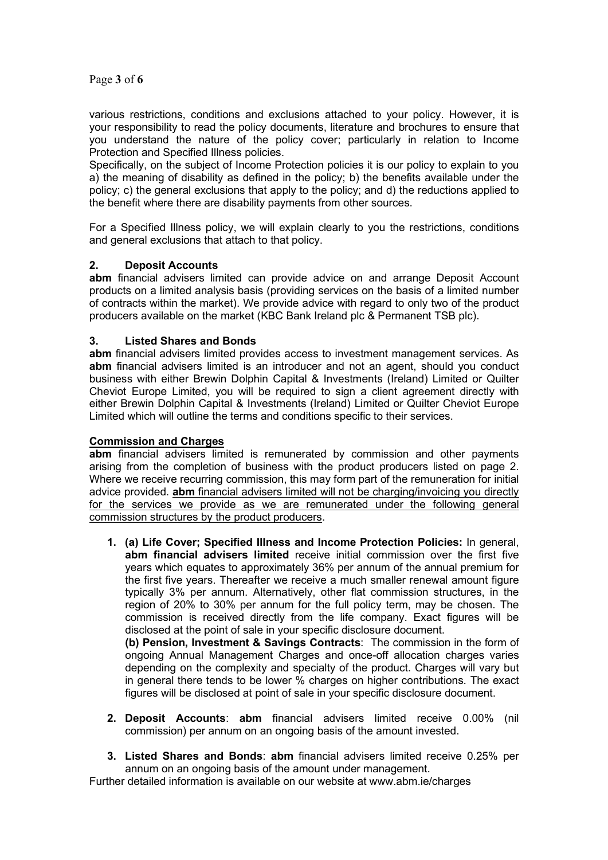Page 3 of 6

various restrictions, conditions and exclusions attached to your policy. However, it is your responsibility to read the policy documents, literature and brochures to ensure that you understand the nature of the policy cover; particularly in relation to Income Protection and Specified Illness policies.

Specifically, on the subject of Income Protection policies it is our policy to explain to you a) the meaning of disability as defined in the policy; b) the benefits available under the policy; c) the general exclusions that apply to the policy; and d) the reductions applied to the benefit where there are disability payments from other sources.

For a Specified Illness policy, we will explain clearly to you the restrictions, conditions and general exclusions that attach to that policy.

# 2. Deposit Accounts

abm financial advisers limited can provide advice on and arrange Deposit Account products on a limited analysis basis (providing services on the basis of a limited number of contracts within the market). We provide advice with regard to only two of the product producers available on the market (KBC Bank Ireland plc & Permanent TSB plc).

# 3. Listed Shares and Bonds

abm financial advisers limited provides access to investment management services. As abm financial advisers limited is an introducer and not an agent, should you conduct business with either Brewin Dolphin Capital & Investments (Ireland) Limited or Quilter Cheviot Europe Limited, you will be required to sign a client agreement directly with either Brewin Dolphin Capital & Investments (Ireland) Limited or Quilter Cheviot Europe Limited which will outline the terms and conditions specific to their services.

# Commission and Charges

abm financial advisers limited is remunerated by commission and other payments arising from the completion of business with the product producers listed on page 2. Where we receive recurring commission, this may form part of the remuneration for initial advice provided. **abm** financial advisers limited will not be charging/invoicing you directly for the services we provide as we are remunerated under the following general commission structures by the product producers.

1. (a) Life Cover; Specified Illness and Income Protection Policies: In general, abm financial advisers limited receive initial commission over the first five years which equates to approximately 36% per annum of the annual premium for the first five years. Thereafter we receive a much smaller renewal amount figure typically 3% per annum. Alternatively, other flat commission structures, in the region of 20% to 30% per annum for the full policy term, may be chosen. The commission is received directly from the life company. Exact figures will be disclosed at the point of sale in your specific disclosure document.

(b) Pension, Investment & Savings Contracts: The commission in the form of ongoing Annual Management Charges and once-off allocation charges varies depending on the complexity and specialty of the product. Charges will vary but in general there tends to be lower % charges on higher contributions. The exact figures will be disclosed at point of sale in your specific disclosure document.

- 2. Deposit Accounts: abm financial advisers limited receive 0.00% (nil commission) per annum on an ongoing basis of the amount invested.
- 3. Listed Shares and Bonds: abm financial advisers limited receive 0.25% per annum on an ongoing basis of the amount under management.

Further detailed information is available on our website at www.abm.ie/charges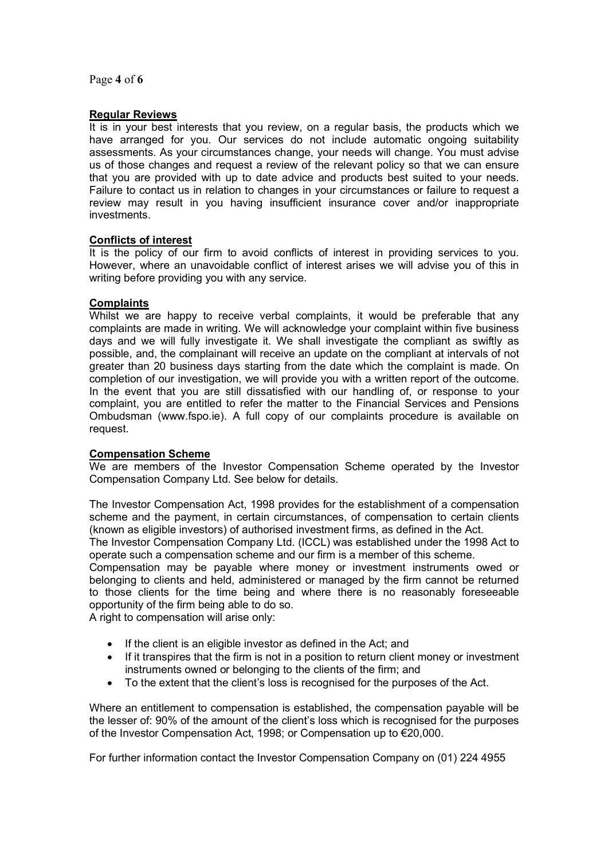Page 4 of 6

### Regular Reviews

It is in your best interests that you review, on a regular basis, the products which we have arranged for you. Our services do not include automatic ongoing suitability assessments. As your circumstances change, your needs will change. You must advise us of those changes and request a review of the relevant policy so that we can ensure that you are provided with up to date advice and products best suited to your needs. Failure to contact us in relation to changes in your circumstances or failure to request a review may result in you having insufficient insurance cover and/or inappropriate investments.

# Conflicts of interest

It is the policy of our firm to avoid conflicts of interest in providing services to you. However, where an unavoidable conflict of interest arises we will advise you of this in writing before providing you with any service.

#### **Complaints**

Whilst we are happy to receive verbal complaints, it would be preferable that any complaints are made in writing. We will acknowledge your complaint within five business days and we will fully investigate it. We shall investigate the compliant as swiftly as possible, and, the complainant will receive an update on the compliant at intervals of not greater than 20 business days starting from the date which the complaint is made. On completion of our investigation, we will provide you with a written report of the outcome. In the event that you are still dissatisfied with our handling of, or response to your complaint, you are entitled to refer the matter to the Financial Services and Pensions Ombudsman (www.fspo.ie). A full copy of our complaints procedure is available on request.

#### Compensation Scheme

We are members of the Investor Compensation Scheme operated by the Investor Compensation Company Ltd. See below for details.

The Investor Compensation Act, 1998 provides for the establishment of a compensation scheme and the payment, in certain circumstances, of compensation to certain clients (known as eligible investors) of authorised investment firms, as defined in the Act.

The Investor Compensation Company Ltd. (ICCL) was established under the 1998 Act to operate such a compensation scheme and our firm is a member of this scheme.

Compensation may be payable where money or investment instruments owed or belonging to clients and held, administered or managed by the firm cannot be returned to those clients for the time being and where there is no reasonably foreseeable opportunity of the firm being able to do so.

A right to compensation will arise only:

- If the client is an eligible investor as defined in the Act; and
- If it transpires that the firm is not in a position to return client money or investment instruments owned or belonging to the clients of the firm; and
- To the extent that the client's loss is recognised for the purposes of the Act.

Where an entitlement to compensation is established, the compensation payable will be the lesser of: 90% of the amount of the client's loss which is recognised for the purposes of the Investor Compensation Act, 1998; or Compensation up to €20,000.

For further information contact the Investor Compensation Company on (01) 224 4955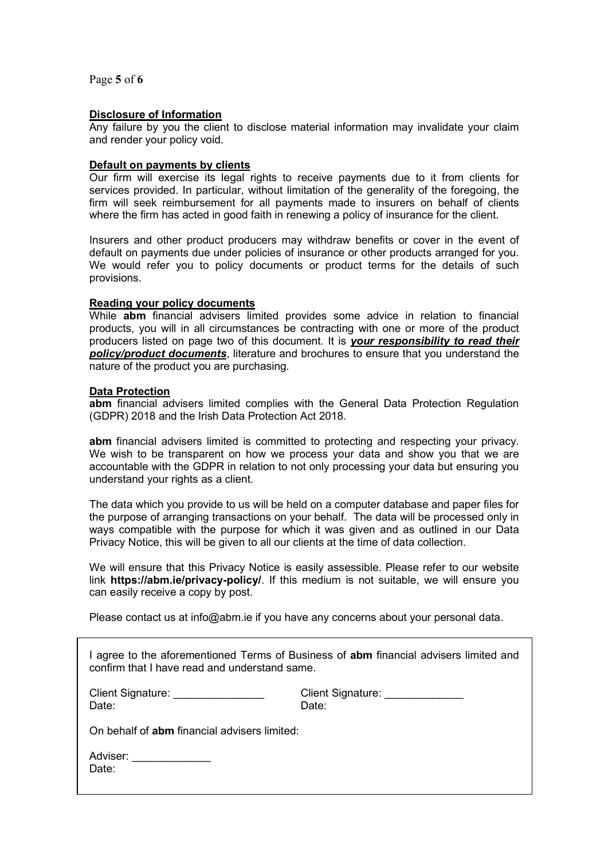Page 5 of 6

#### Disclosure of Information

Any failure by you the client to disclose material information may invalidate your claim and render your policy void.

#### Default on payments by clients

Our firm will exercise its legal rights to receive payments due to it from clients for services provided. In particular, without limitation of the generality of the foregoing, the firm will seek reimbursement for all payments made to insurers on behalf of clients where the firm has acted in good faith in renewing a policy of insurance for the client.

Insurers and other product producers may withdraw benefits or cover in the event of default on payments due under policies of insurance or other products arranged for you. We would refer you to policy documents or product terms for the details of such provisions.

#### Reading your policy documents

While abm financial advisers limited provides some advice in relation to financial products, you will in all circumstances be contracting with one or more of the product producers listed on page two of this document. It is your responsibility to read their policy/product documents, literature and brochures to ensure that you understand the nature of the product you are purchasing.

#### Data Protection

abm financial advisers limited complies with the General Data Protection Regulation (GDPR) 2018 and the Irish Data Protection Act 2018.

abm financial advisers limited is committed to protecting and respecting your privacy. We wish to be transparent on how we process your data and show you that we are accountable with the GDPR in relation to not only processing your data but ensuring you understand your rights as a client.

The data which you provide to us will be held on a computer database and paper files for the purpose of arranging transactions on your behalf. The data will be processed only in ways compatible with the purpose for which it was given and as outlined in our Data Privacy Notice, this will be given to all our clients at the time of data collection.

We will ensure that this Privacy Notice is easily assessible. Please refer to our website link https://abm.ie/privacy-policy/. If this medium is not suitable, we will ensure you can easily receive a copy by post.

Please contact us at info@abm.ie if you have any concerns about your personal data.

| I agree to the aforementioned Terms of Business of <b>abm</b> financial advisers limited and<br>confirm that I have read and understand same. |                                                 |  |
|-----------------------------------------------------------------------------------------------------------------------------------------------|-------------------------------------------------|--|
| Client Signature: <u>________________</u><br>Date:                                                                                            | Client Signature: <u>_____________</u><br>Date: |  |
| On behalf of <b>abm</b> financial advisers limited:                                                                                           |                                                 |  |
| Adviser:<br>Date:                                                                                                                             |                                                 |  |